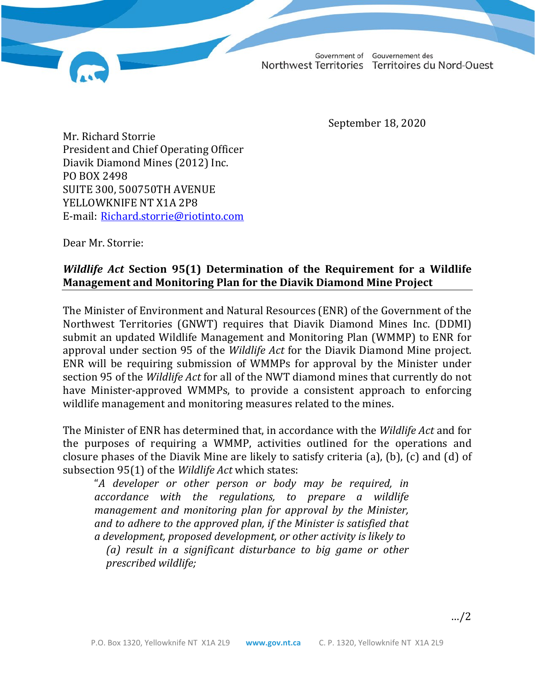Gouvernement des Government of Northwest Territories Territoires du Nord-Ouest

September 18, 2020

Mr. Richard Storrie President and Chief Operating Officer Diavik Diamond Mines (2012) Inc. PO BOX 2498 SUITE 300, 500750TH AVENUE YELLOWKNIFE NT X1A 2P8 E-mail: [Richard.storrie@riotinto.com](http://diims.pws.gov.nt.ca/yk32vapp05pdav/nodes/125775709/Richard.storrie%40riotinto.com)

Dear Mr. Storrie:

## *Wildlife Act* **Section 95(1) Determination of the Requirement for a Wildlife Management and Monitoring Plan for the Diavik Diamond Mine Project**

The Minister of Environment and Natural Resources (ENR) of the Government of the Northwest Territories (GNWT) requires that Diavik Diamond Mines Inc. (DDMI) submit an updated Wildlife Management and Monitoring Plan (WMMP) to ENR for approval under section 95 of the *Wildlife Act* for the Diavik Diamond Mine project. ENR will be requiring submission of WMMPs for approval by the Minister under section 95 of the *Wildlife Act* for all of the NWT diamond mines that currently do not have Minister-approved WMMPs, to provide a consistent approach to enforcing wildlife management and monitoring measures related to the mines.

The Minister of ENR has determined that, in accordance with the *Wildlife Act* and for the purposes of requiring a WMMP, activities outlined for the operations and closure phases of the Diavik Mine are likely to satisfy criteria (a), (b), (c) and (d) of subsection 95(1) of the *Wildlife Act* which states:

"*A developer or other person or body may be required, in accordance with the regulations, to prepare a wildlife management and monitoring plan for approval by the Minister, and to adhere to the approved plan, if the Minister is satisfied that a development, proposed development, or other activity is likely to (a) result in a significant disturbance to big game or other prescribed wildlife;*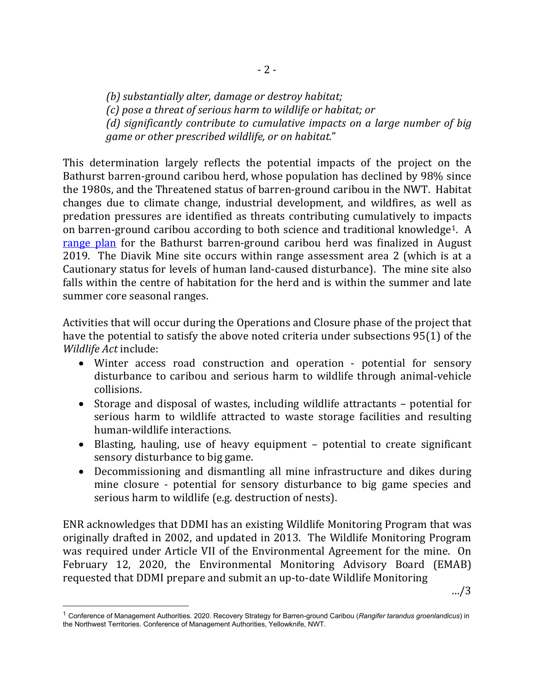*(b) substantially alter, damage or destroy habitat; (c) pose a threat of serious harm to wildlife or habitat; or (d) significantly contribute to cumulative impacts on a large number of big game or other prescribed wildlife, or on habitat.*"

This determination largely reflects the potential impacts of the project on the Bathurst barren-ground caribou herd, whose population has declined by 98% since the 1980s, and the Threatened status of barren-ground caribou in the NWT. Habitat changes due to climate change, industrial development, and wildfires, as well as predation pressures are identified as threats contributing cumulatively to impacts on barren-ground caribou according to both science and traditional knowledge[1.](#page-1-0) A [range plan](https://www.enr.gov.nt.ca/en/bathurst-caribou-range-plan-plan-pour-laire-de-repartition-des-caribous-de-bathurst) for the Bathurst barren-ground caribou herd was finalized in August 2019. The Diavik Mine site occurs within range assessment area 2 (which is at a Cautionary status for levels of human land-caused disturbance). The mine site also falls within the centre of habitation for the herd and is within the summer and late summer core seasonal ranges.

Activities that will occur during the Operations and Closure phase of the project that have the potential to satisfy the above noted criteria under subsections 95(1) of the *Wildlife Act* include:

- Winter access road construction and operation potential for sensory disturbance to caribou and serious harm to wildlife through animal-vehicle collisions.
- Storage and disposal of wastes, including wildlife attractants potential for serious harm to wildlife attracted to waste storage facilities and resulting human-wildlife interactions.
- Blasting, hauling, use of heavy equipment potential to create significant sensory disturbance to big game.
- Decommissioning and dismantling all mine infrastructure and dikes during mine closure - potential for sensory disturbance to big game species and serious harm to wildlife (e.g. destruction of nests).

ENR acknowledges that DDMI has an existing Wildlife Monitoring Program that was originally drafted in 2002, and updated in 2013. The Wildlife Monitoring Program was required under Article VII of the Environmental Agreement for the mine. On February 12, 2020, the Environmental Monitoring Advisory Board (EMAB) requested that DDMI prepare and submit an up-to-date Wildlife Monitoring

<span id="page-1-0"></span><sup>1</sup> Conference of Management Authorities. 2020. Recovery Strategy for Barren-ground Caribou (*Rangifer tarandus groenlandicus*) in the Northwest Territories. Conference of Management Authorities, Yellowknife, NWT.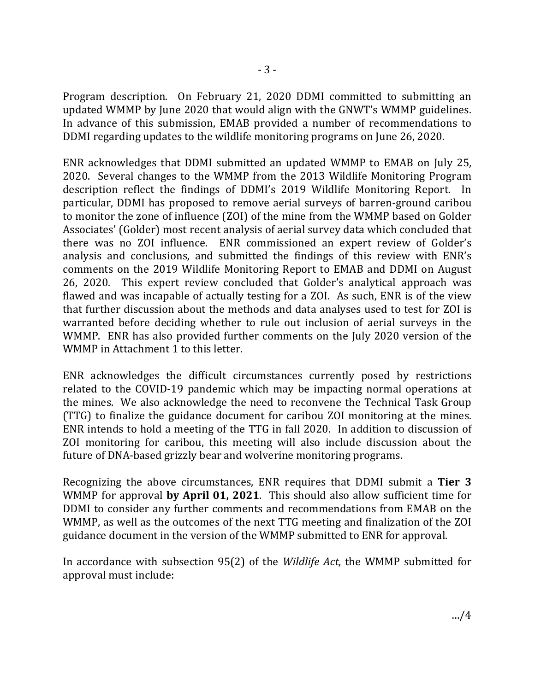Program description. On February 21, 2020 DDMI committed to submitting an updated WMMP by June 2020 that would align with the GNWT's WMMP guidelines. In advance of this submission, EMAB provided a number of recommendations to DDMI regarding updates to the wildlife monitoring programs on June 26, 2020.

ENR acknowledges that DDMI submitted an updated WMMP to EMAB on July 25, 2020. Several changes to the WMMP from the 2013 Wildlife Monitoring Program description reflect the findings of DDMI's 2019 Wildlife Monitoring Report. In particular, DDMI has proposed to remove aerial surveys of barren-ground caribou to monitor the zone of influence (ZOI) of the mine from the WMMP based on Golder Associates' (Golder) most recent analysis of aerial survey data which concluded that there was no ZOI influence. ENR commissioned an expert review of Golder's analysis and conclusions, and submitted the findings of this review with ENR's comments on the 2019 Wildlife Monitoring Report to EMAB and DDMI on August 26, 2020. This expert review concluded that Golder's analytical approach was flawed and was incapable of actually testing for a ZOI. As such, ENR is of the view that further discussion about the methods and data analyses used to test for ZOI is warranted before deciding whether to rule out inclusion of aerial surveys in the WMMP. ENR has also provided further comments on the July 2020 version of the WMMP in Attachment 1 to this letter.

ENR acknowledges the difficult circumstances currently posed by restrictions related to the COVID-19 pandemic which may be impacting normal operations at the mines. We also acknowledge the need to reconvene the Technical Task Group (TTG) to finalize the guidance document for caribou ZOI monitoring at the mines. ENR intends to hold a meeting of the TTG in fall 2020. In addition to discussion of ZOI monitoring for caribou, this meeting will also include discussion about the future of DNA-based grizzly bear and wolverine monitoring programs.

Recognizing the above circumstances, ENR requires that DDMI submit a **Tier 3** WMMP for approval **by April 01, 2021**. This should also allow sufficient time for DDMI to consider any further comments and recommendations from EMAB on the WMMP, as well as the outcomes of the next TTG meeting and finalization of the ZOI guidance document in the version of the WMMP submitted to ENR for approval.

In accordance with subsection 95(2) of the *Wildlife Act*, the WMMP submitted for approval must include: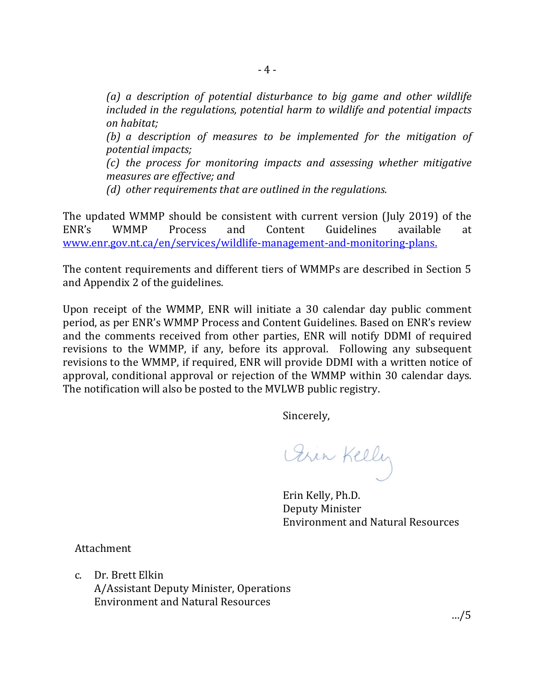*(a) a description of potential disturbance to big game and other wildlife included in the regulations, potential harm to wildlife and potential impacts on habitat;*

*(b) a description of measures to be implemented for the mitigation of potential impacts;*

*(c) the process for monitoring impacts and assessing whether mitigative measures are effective; and*

*(d) other requirements that are outlined in the regulations.*

The updated WMMP should be consistent with current version (July 2019) of the ENR's WMMP Process and Content Guidelines available at ENR's WMMP Process and Content Guidelines available at [www.enr.gov.nt.ca/en/services/wildlife-management-and-monitoring-plans.](http://www.enr.gov.nt.ca/en/services/wildlife-management-and-monitoring-plans)

The content requirements and different tiers of WMMPs are described in Section 5 and Appendix 2 of the guidelines.

Upon receipt of the WMMP, ENR will initiate a 30 calendar day public comment period, as per ENR's WMMP Process and Content Guidelines. Based on ENR's review and the comments received from other parties, ENR will notify DDMI of required revisions to the WMMP, if any, before its approval. Following any subsequent revisions to the WMMP, if required, ENR will provide DDMI with a written notice of approval, conditional approval or rejection of the WMMP within 30 calendar days. The notification will also be posted to the MVLWB public registry.

Sincerely,

Pin Kelly

Erin Kelly, Ph.D. Deputy Minister Environment and Natural Resources

Attachment

c. Dr. Brett Elkin A/Assistant Deputy Minister, Operations Environment and Natural Resources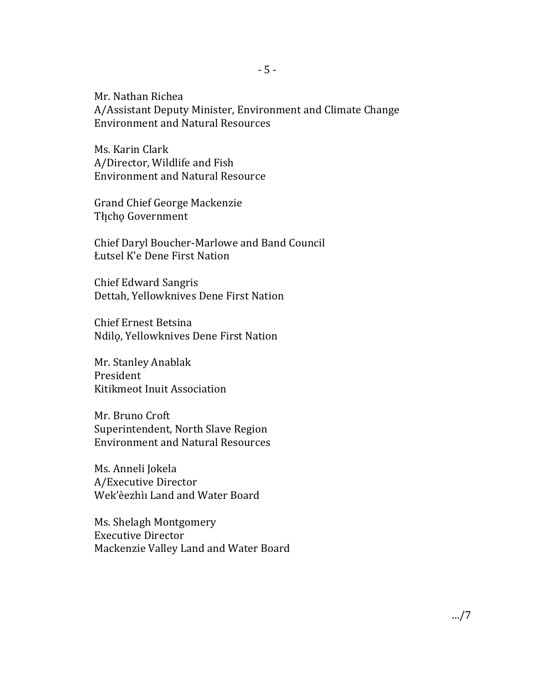Mr. Nathan Richea A/Assistant Deputy Minister, Environment and Climate Change Environment and Natural Resources

Ms. Karin Clark A/Director, Wildlife and Fish Environment and Natural Resource

Grand Chief George Mackenzie Tłįcho Government

Chief Daryl Boucher-Marlowe and Band Council Łutsel K'e Dene First Nation

Chief Edward Sangris Dettah, Yellowknives Dene First Nation

Chief Ernest Betsina Ndilǫ, Yellowknives Dene First Nation

Mr. Stanley Anablak President Kitikmeot Inuit Association

Mr. Bruno Croft Superintendent, North Slave Region Environment and Natural Resources

Ms. Anneli Jokela A/Executive Director Wek'èezhı̀ı Land and Water Board

Ms. Shelagh Montgomery Executive Director Mackenzie Valley Land and Water Board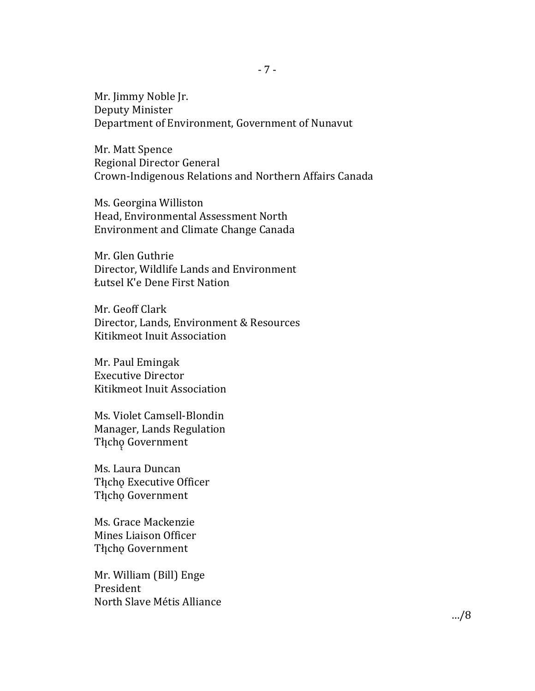Mr. Jimmy Noble Jr. Deputy Minister Department of Environment, Government of Nunavut

Mr. Matt Spence Regional Director General Crown-Indigenous Relations and Northern Affairs Canada

Ms. Georgina Williston Head, Environmental Assessment North Environment and Climate Change Canada

Mr. Glen Guthrie Director, Wildlife Lands and Environment Łutsel K'e Dene First Nation

Mr. Geoff Clark Director, Lands, Environment & Resources Kitikmeot Inuit Association

Mr. Paul Emingak Executive Director Kitikmeot Inuit Association

Ms. Violet Camsell-Blondin Manager, Lands Regulation Tłįchę Government

Ms. Laura Duncan Tłįcho Executive Officer Tłįcho Government

Ms. Grace Mackenzie Mines Liaison Officer Tłįchę Government

Mr. William (Bill) Enge President North Slave Métis Alliance